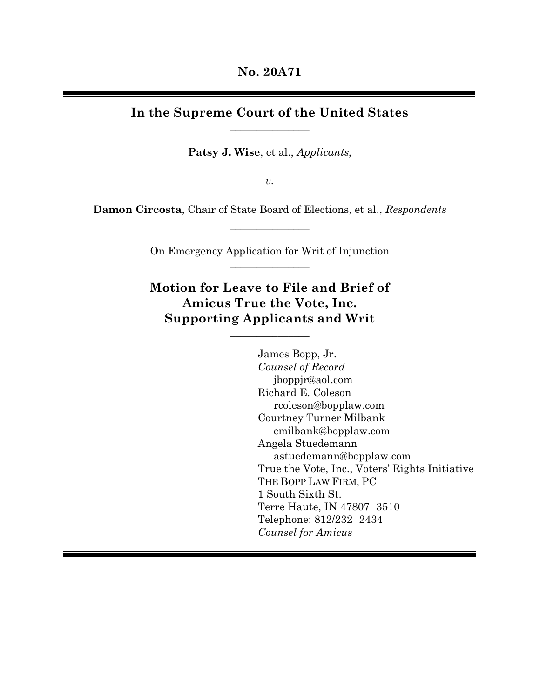# **In the Supreme Court of the United States**  $\overline{\phantom{a}}$  , where  $\overline{\phantom{a}}$

**Patsy J. Wise**, et al., *Applicants*,

*v.*

**Damon Circosta**, Chair of State Board of Elections, et al., *Respondents*  $\mathcal{L}$  , we can also assume that  $\mathcal{L}$ 

> On Emergency Application for Writ of Injunction  $\overline{\phantom{a}}$  , where  $\overline{\phantom{a}}$

> **Motion for Leave to File and Brief of Amicus True the Vote, Inc. Supporting Applicants and Writ**

> > $\overline{\phantom{a}}$  , where  $\overline{\phantom{a}}$

James Bopp, Jr. *Counsel of Record* jboppjr@aol.com Richard E. Coleson rcoleson@bopplaw.com Courtney Turner Milbank cmilbank@bopplaw.com Angela Stuedemann astuedemann@bopplaw.com True the Vote, Inc., Voters' Rights Initiative THE BOPP LAW FIRM, PC 1 South Sixth St. Terre Haute, IN 47807−3510 Telephone: 812/232−2434 *Counsel for Amicus*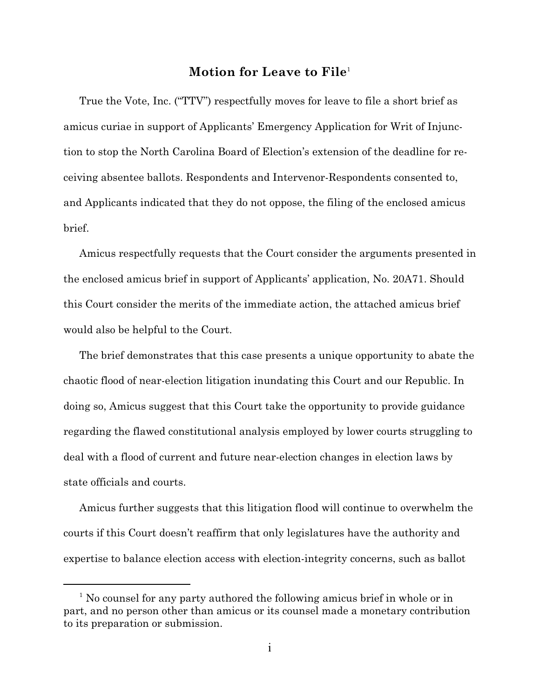# **Motion for Leave to File** 1

True the Vote, Inc. ("TTV") respectfully moves for leave to file a short brief as amicus curiae in support of Applicants' Emergency Application for Writ of Injunction to stop the North Carolina Board of Election's extension of the deadline for receiving absentee ballots. Respondents and Intervenor-Respondents consented to, and Applicants indicated that they do not oppose, the filing of the enclosed amicus brief.

Amicus respectfully requests that the Court consider the arguments presented in the enclosed amicus brief in support of Applicants' application, No. 20A71. Should this Court consider the merits of the immediate action, the attached amicus brief would also be helpful to the Court.

The brief demonstrates that this case presents a unique opportunity to abate the chaotic flood of near-election litigation inundating this Court and our Republic. In doing so, Amicus suggest that this Court take the opportunity to provide guidance regarding the flawed constitutional analysis employed by lower courts struggling to deal with a flood of current and future near-election changes in election laws by state officials and courts.

Amicus further suggests that this litigation flood will continue to overwhelm the courts if this Court doesn't reaffirm that only legislatures have the authority and expertise to balance election access with election-integrity concerns, such as ballot

<sup>&</sup>lt;sup>1</sup> No counsel for any party authored the following amicus brief in whole or in part, and no person other than amicus or its counsel made a monetary contribution to its preparation or submission.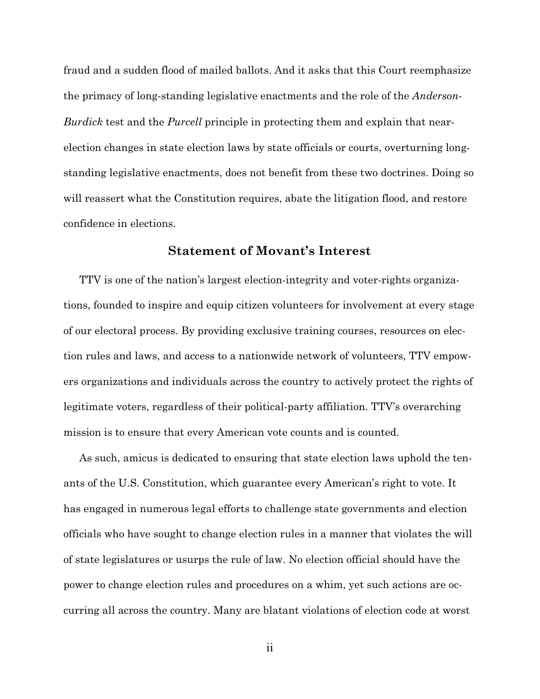fraud and a sudden flood of mailed ballots. And it asks that this Court reemphasize the primacy of long-standing legislative enactments and the role of the *Anderson-Burdick* test and the *Purcell* principle in protecting them and explain that nearelection changes in state election laws by state officials or courts, overturning longstanding legislative enactments, does not benefit from these two doctrines. Doing so will reassert what the Constitution requires, abate the litigation flood, and restore confidence in elections.

# **Statement of Movant's Interest**

TTV is one of the nation's largest election-integrity and voter-rights organizations, founded to inspire and equip citizen volunteers for involvement at every stage of our electoral process. By providing exclusive training courses, resources on election rules and laws, and access to a nationwide network of volunteers, TTV empowers organizations and individuals across the country to actively protect the rights of legitimate voters, regardless of their political-party affiliation. TTV's overarching mission is to ensure that every American vote counts and is counted.

As such, amicus is dedicated to ensuring that state election laws uphold the tenants of the U.S. Constitution, which guarantee every American's right to vote. It has engaged in numerous legal efforts to challenge state governments and election officials who have sought to change election rules in a manner that violates the will of state legislatures or usurps the rule of law. No election official should have the power to change election rules and procedures on a whim, yet such actions are occurring all across the country. Many are blatant violations of election code at worst

ii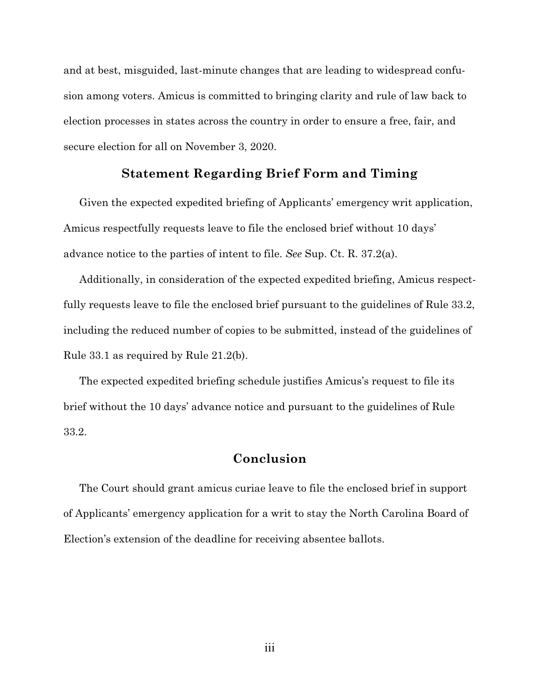and at best, misguided, last-minute changes that are leading to widespread confusion among voters. Amicus is committed to bringing clarity and rule of law back to election processes in states across the country in order to ensure a free, fair, and secure election for all on November 3, 2020.

# **Statement Regarding Brief Form and Timing**

Given the expected expedited briefing of Applicants' emergency writ application, Amicus respectfully requests leave to file the enclosed brief without 10 days' advance notice to the parties of intent to file. *See* Sup. Ct. R. 37.2(a).

Additionally, in consideration of the expected expedited briefing, Amicus respectfully requests leave to file the enclosed brief pursuant to the guidelines of Rule 33.2, including the reduced number of copies to be submitted, instead of the guidelines of Rule 33.1 as required by Rule 21.2(b).

The expected expedited briefing schedule justifies Amicus's request to file its brief without the 10 days' advance notice and pursuant to the guidelines of Rule 33.2.

# **Conclusion**

The Court should grant amicus curiae leave to file the enclosed brief in support of Applicants' emergency application for a writ to stay the North Carolina Board of Election's extension of the deadline for receiving absentee ballots.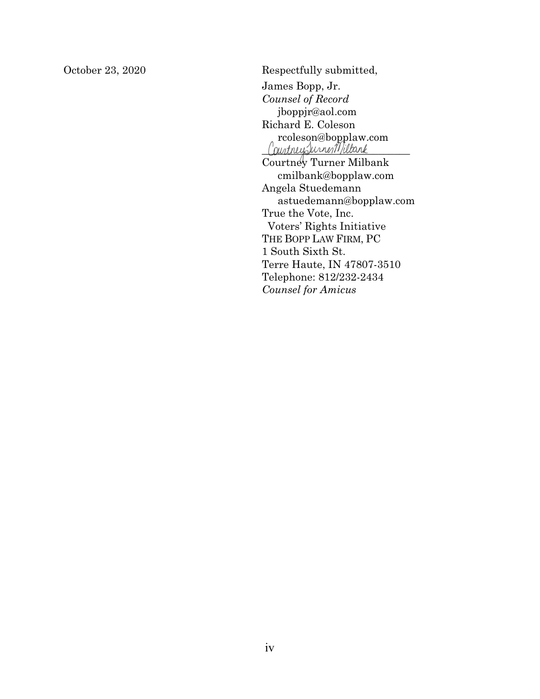October 23, 2020 Respectfully submitted, James Bopp, Jr. *Counsel of Record* jboppjr@aol.com Richard E. Coleson rcoleson@bopplaw.com Consonaboppiaw. Courtney Turner Milbank cmilbank@bopplaw.com Angela Stuedemann astuedemann@bopplaw.com True the Vote, Inc. Voters' Rights Initiative THE BOPP LAW FIRM, PC 1 South Sixth St. Terre Haute, IN 47807-3510 Telephone: 812/232-2434 *Counsel for Amicus*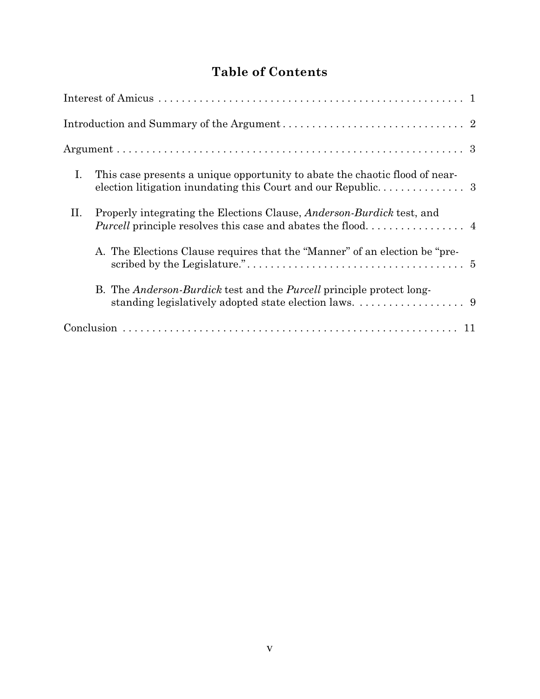# **Table of Contents**

| I.<br>This case presents a unique opportunity to abate the chaotic flood of near-   |
|-------------------------------------------------------------------------------------|
| Properly integrating the Elections Clause, <i>Anderson-Burdick</i> test, and<br>II. |
| A. The Elections Clause requires that the "Manner" of an election be "pre-          |
| B. The <i>Anderson-Burdick</i> test and the <i>Purcell</i> principle protect long-  |
|                                                                                     |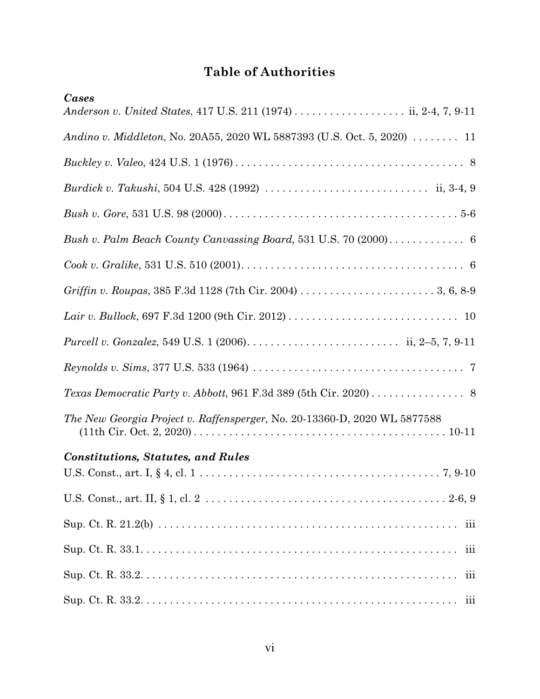# **Table of Authorities**

| Cases                                                                                                                       |
|-----------------------------------------------------------------------------------------------------------------------------|
|                                                                                                                             |
| Andino v. Middleton, No. 20A55, 2020 WL 5887393 (U.S. Oct. 5, 2020)  11                                                     |
|                                                                                                                             |
| <i>Burdick v. Takushi</i> , 504 U.S. 428 (1992) $\ldots \ldots \ldots \ldots \ldots \ldots \ldots \ldots \ldots$ ii, 3-4, 9 |
|                                                                                                                             |
|                                                                                                                             |
|                                                                                                                             |
|                                                                                                                             |
|                                                                                                                             |
|                                                                                                                             |
|                                                                                                                             |
|                                                                                                                             |
| The New Georgia Project v. Raffensperger, No. 20-13360-D, 2020 WL 5877588                                                   |
| <b>Constitutions, Statutes, and Rules</b>                                                                                   |
|                                                                                                                             |
|                                                                                                                             |
| iii                                                                                                                         |
| iii                                                                                                                         |
| iii                                                                                                                         |
|                                                                                                                             |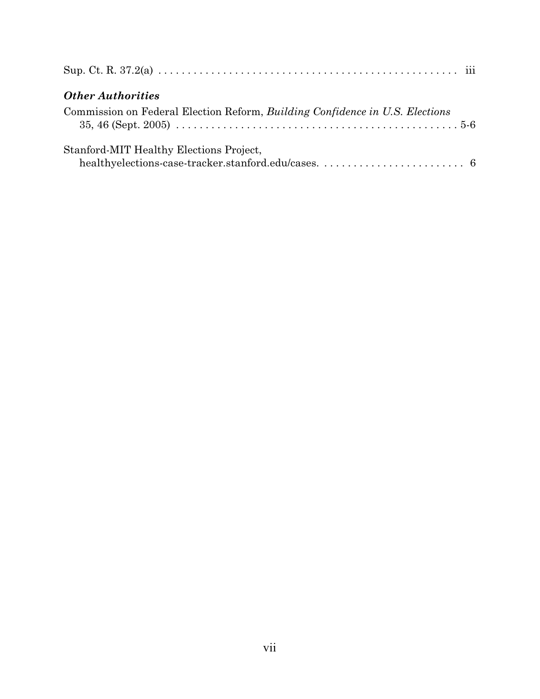| <b>Other Authorities</b>                                                     |
|------------------------------------------------------------------------------|
| Commission on Federal Election Reform, Building Confidence in U.S. Elections |
| Stanford-MIT Healthy Elections Project,                                      |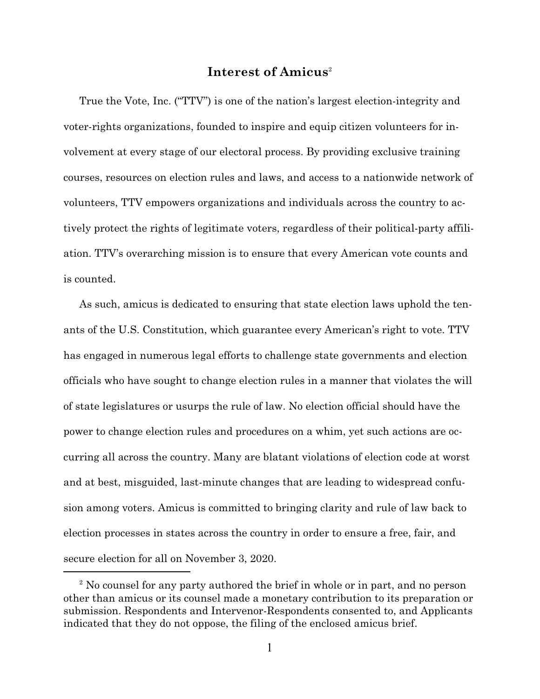# **Interest of Amicus** 2

True the Vote, Inc. ("TTV") is one of the nation's largest election-integrity and voter-rights organizations, founded to inspire and equip citizen volunteers for involvement at every stage of our electoral process. By providing exclusive training courses, resources on election rules and laws, and access to a nationwide network of volunteers, TTV empowers organizations and individuals across the country to actively protect the rights of legitimate voters, regardless of their political-party affiliation. TTV's overarching mission is to ensure that every American vote counts and is counted.

As such, amicus is dedicated to ensuring that state election laws uphold the tenants of the U.S. Constitution, which guarantee every American's right to vote. TTV has engaged in numerous legal efforts to challenge state governments and election officials who have sought to change election rules in a manner that violates the will of state legislatures or usurps the rule of law. No election official should have the power to change election rules and procedures on a whim, yet such actions are occurring all across the country. Many are blatant violations of election code at worst and at best, misguided, last-minute changes that are leading to widespread confusion among voters. Amicus is committed to bringing clarity and rule of law back to election processes in states across the country in order to ensure a free, fair, and secure election for all on November 3, 2020.

<sup>&</sup>lt;sup>2</sup> No counsel for any party authored the brief in whole or in part, and no person other than amicus or its counsel made a monetary contribution to its preparation or submission. Respondents and Intervenor-Respondents consented to, and Applicants indicated that they do not oppose, the filing of the enclosed amicus brief.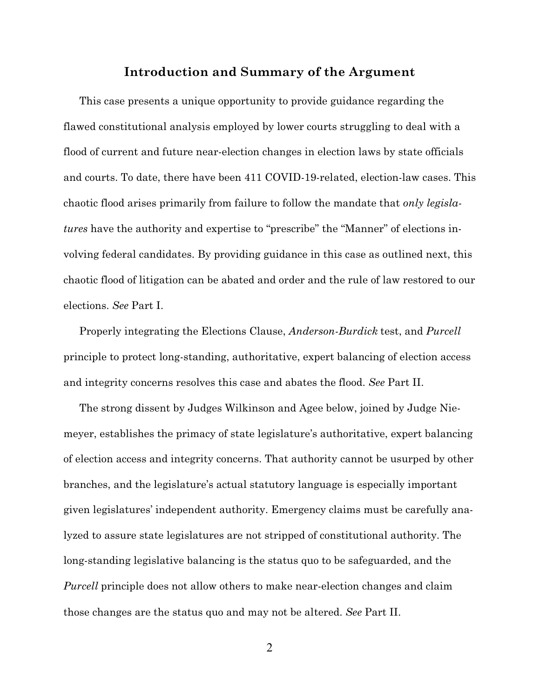### **Introduction and Summary of the Argument**

This case presents a unique opportunity to provide guidance regarding the flawed constitutional analysis employed by lower courts struggling to deal with a flood of current and future near-election changes in election laws by state officials and courts. To date, there have been 411 COVID-19-related, election-law cases. This chaotic flood arises primarily from failure to follow the mandate that *only legislatures* have the authority and expertise to "prescribe" the "Manner" of elections involving federal candidates. By providing guidance in this case as outlined next, this chaotic flood of litigation can be abated and order and the rule of law restored to our elections. *See* Part I.

Properly integrating the Elections Clause, *Anderson-Burdick* test, and *Purcell* principle to protect long-standing, authoritative, expert balancing of election access and integrity concerns resolves this case and abates the flood. *See* Part II.

The strong dissent by Judges Wilkinson and Agee below, joined by Judge Niemeyer, establishes the primacy of state legislature's authoritative, expert balancing of election access and integrity concerns. That authority cannot be usurped by other branches, and the legislature's actual statutory language is especially important given legislatures' independent authority. Emergency claims must be carefully analyzed to assure state legislatures are not stripped of constitutional authority. The long-standing legislative balancing is the status quo to be safeguarded, and the *Purcell* principle does not allow others to make near-election changes and claim those changes are the status quo and may not be altered. *See* Part II.

2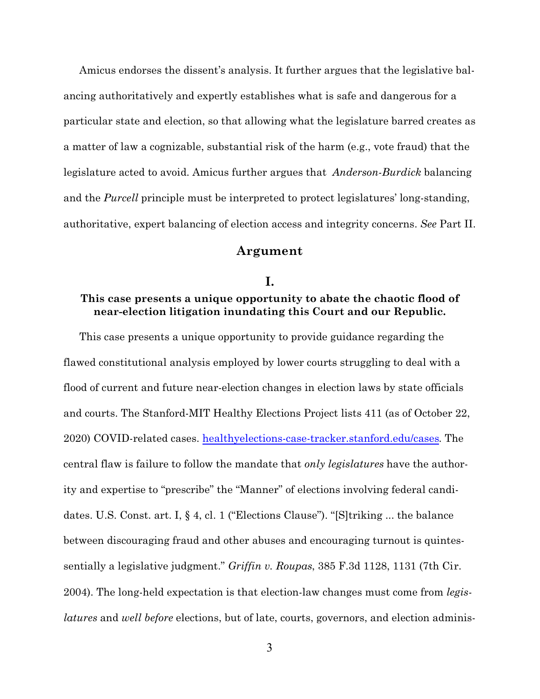Amicus endorses the dissent's analysis. It further argues that the legislative balancing authoritatively and expertly establishes what is safe and dangerous for a particular state and election, so that allowing what the legislature barred creates as a matter of law a cognizable, substantial risk of the harm (e.g., vote fraud) that the legislature acted to avoid. Amicus further argues that *Anderson-Burdick* balancing and the *Purcell* principle must be interpreted to protect legislatures' long-standing, authoritative, expert balancing of election access and integrity concerns. *See* Part II.

#### **Argument**

#### **I.**

### **This case presents a unique opportunity to abate the chaotic flood of near-election litigation inundating this Court and our Republic.**

This case presents a unique opportunity to provide guidance regarding the flawed constitutional analysis employed by lower courts struggling to deal with a flood of current and future near-election changes in election laws by state officials and courts. The Stanford-MIT Healthy Elections Project lists 411 (as of October 22, 2020) COVID-related cases. healthyelections-case-tracker.stanford.edu/cases. The central flaw is failure to follow the mandate that *only legislatures* have the authority and expertise to "prescribe" the "Manner" of elections involving federal candidates. U.S. Const. art. I, § 4, cl. 1 ("Elections Clause"). "[S]triking ... the balance between discouraging fraud and other abuses and encouraging turnout is quintessentially a legislative judgment." *Griffin v. Roupas*, 385 F.3d 1128, 1131 (7th Cir. 2004). The long-held expectation is that election-law changes must come from *legislatures* and *well before* elections, but of late, courts, governors, and election adminis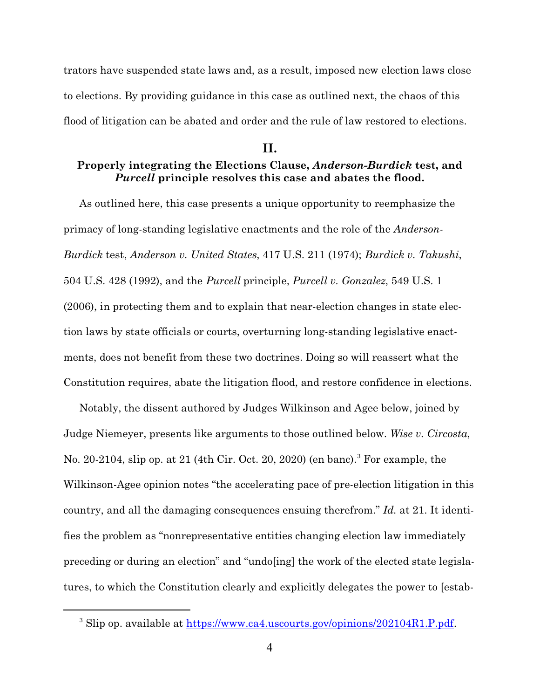trators have suspended state laws and, as a result, imposed new election laws close to elections. By providing guidance in this case as outlined next, the chaos of this flood of litigation can be abated and order and the rule of law restored to elections.

#### **II.**

# **Properly integrating the Elections Clause,** *Anderson-Burdick* **test, and** *Purcell* **principle resolves this case and abates the flood.**

As outlined here, this case presents a unique opportunity to reemphasize the primacy of long-standing legislative enactments and the role of the *Anderson-Burdick* test, *Anderson v. United States*, 417 U.S. 211 (1974); *Burdick v. Takushi*, 504 U.S. 428 (1992), and the *Purcell* principle, *Purcell v. Gonzalez*, 549 U.S. 1 (2006), in protecting them and to explain that near-election changes in state election laws by state officials or courts, overturning long-standing legislative enactments, does not benefit from these two doctrines. Doing so will reassert what the Constitution requires, abate the litigation flood, and restore confidence in elections.

Notably, the dissent authored by Judges Wilkinson and Agee below, joined by Judge Niemeyer, presents like arguments to those outlined below. *Wise v. Circosta*, No. 20-2104, slip op. at 21 (4th Cir. Oct. 20, 2020) (en banc).<sup>3</sup> For example, the Wilkinson-Agee opinion notes "the accelerating pace of pre-election litigation in this country, and all the damaging consequences ensuing therefrom." *Id.* at 21. It identifies the problem as "nonrepresentative entities changing election law immediately preceding or during an election" and "undo[ing] the work of the elected state legislatures, to which the Constitution clearly and explicitly delegates the power to [estab-

<sup>&</sup>lt;sup>3</sup> Slip op. available at https://www.ca4.uscourts.gov/opinions/202104R1.P.pdf.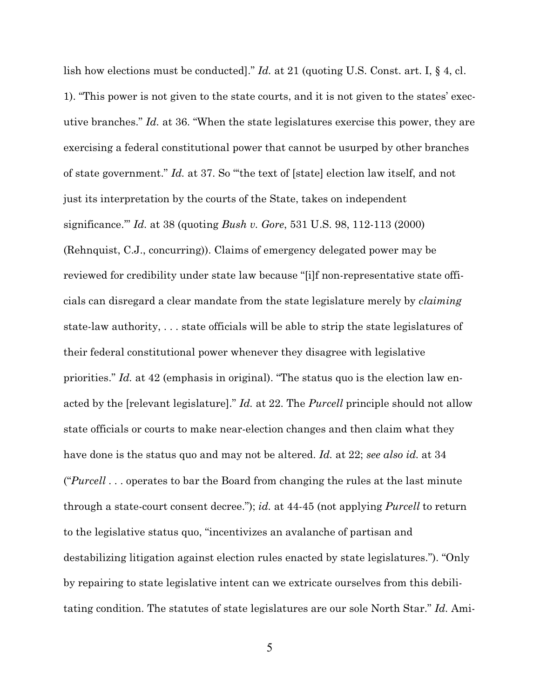lish how elections must be conducted]." *Id.* at 21 (quoting U.S. Const. art. I, § 4, cl. 1). "This power is not given to the state courts, and it is not given to the states' executive branches." *Id.* at 36. "When the state legislatures exercise this power, they are exercising a federal constitutional power that cannot be usurped by other branches of state government." *Id.* at 37. So "'the text of [state] election law itself, and not just its interpretation by the courts of the State, takes on independent significance.'" *Id.* at 38 (quoting *Bush v. Gore*, 531 U.S. 98, 112-113 (2000) (Rehnquist, C.J., concurring)). Claims of emergency delegated power may be reviewed for credibility under state law because "[i]f non-representative state officials can disregard a clear mandate from the state legislature merely by *claiming* state-law authority, . . . state officials will be able to strip the state legislatures of their federal constitutional power whenever they disagree with legislative priorities." *Id.* at 42 (emphasis in original). "The status quo is the election law enacted by the [relevant legislature]." *Id.* at 22. The *Purcell* principle should not allow state officials or courts to make near-election changes and then claim what they have done is the status quo and may not be altered. *Id.* at 22; *see also id.* at 34 ("*Purcell* . . . operates to bar the Board from changing the rules at the last minute through a state-court consent decree."); *id.* at 44-45 (not applying *Purcell* to return to the legislative status quo, "incentivizes an avalanche of partisan and destabilizing litigation against election rules enacted by state legislatures."). "Only by repairing to state legislative intent can we extricate ourselves from this debilitating condition. The statutes of state legislatures are our sole North Star." *Id.* Ami-

5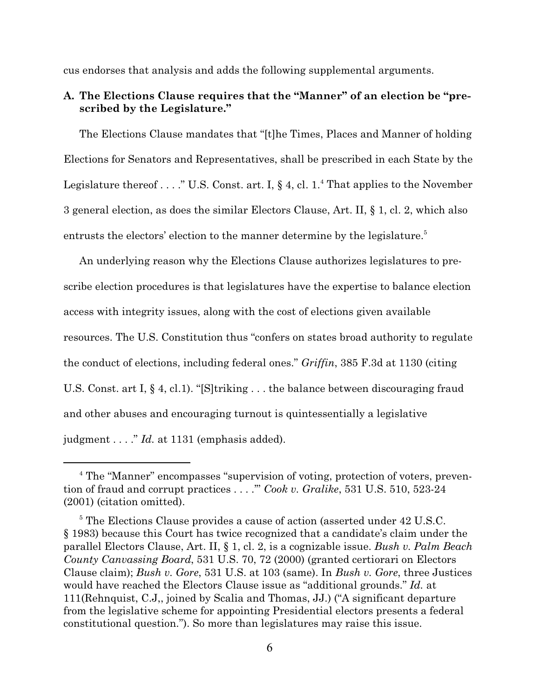cus endorses that analysis and adds the following supplemental arguments.

## **A. The Elections Clause requires that the "Manner" of an election be "prescribed by the Legislature."**

The Elections Clause mandates that "[t]he Times, Places and Manner of holding Elections for Senators and Representatives, shall be prescribed in each State by the Legislature thereof . . . ." U.S. Const. art. I,  $\S 4$ , cl. 1.<sup>4</sup> That applies to the November 3 general election, as does the similar Electors Clause, Art. II, § 1, cl. 2, which also entrusts the electors' election to the manner determine by the legislature.<sup>5</sup>

An underlying reason why the Elections Clause authorizes legislatures to prescribe election procedures is that legislatures have the expertise to balance election access with integrity issues, along with the cost of elections given available resources. The U.S. Constitution thus "confers on states broad authority to regulate the conduct of elections, including federal ones." *Griffin*, 385 F.3d at 1130 (citing U.S. Const. art I, § 4, cl.1). "[S]triking . . . the balance between discouraging fraud and other abuses and encouraging turnout is quintessentially a legislative judgment . . . ." *Id.* at 1131 (emphasis added).

<sup>&</sup>lt;sup>4</sup> The "Manner" encompasses "supervision of voting, protection of voters, prevention of fraud and corrupt practices . . . .'" *Cook v. Gralike*, 531 U.S. 510, 523-24 (2001) (citation omitted).

<sup>&</sup>lt;sup>5</sup> The Elections Clause provides a cause of action (asserted under 42 U.S.C. § 1983) because this Court has twice recognized that a candidate's claim under the parallel Electors Clause, Art. II, § 1, cl. 2, is a cognizable issue. *Bush v. Palm Beach County Canvassing Board*, 531 U.S. 70, 72 (2000) (granted certiorari on Electors Clause claim); *Bush v. Gore*, 531 U.S. at 103 (same). In *Bush v. Gore*, three Justices would have reached the Electors Clause issue as "additional grounds." *Id.* at 111(Rehnquist, C.J,, joined by Scalia and Thomas, JJ.) ("A significant departure from the legislative scheme for appointing Presidential electors presents a federal constitutional question."). So more than legislatures may raise this issue.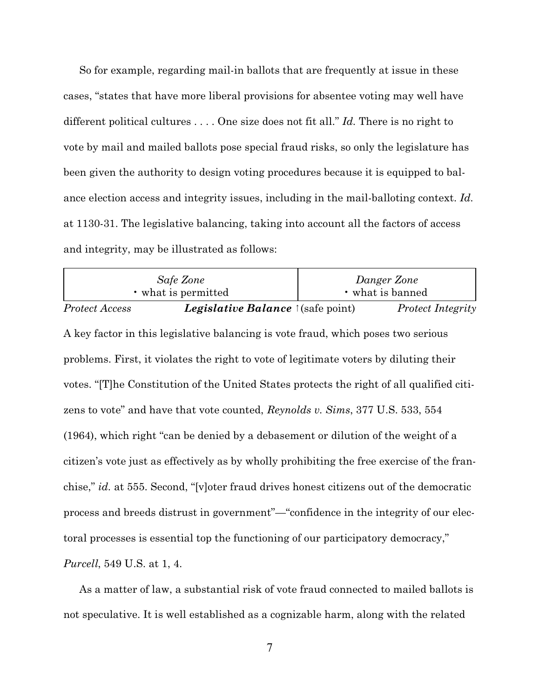So for example, regarding mail-in ballots that are frequently at issue in these cases, "states that have more liberal provisions for absentee voting may well have different political cultures . . . . One size does not fit all." *Id.* There is no right to vote by mail and mailed ballots pose special fraud risks, so only the legislature has been given the authority to design voting procedures because it is equipped to balance election access and integrity issues, including in the mail-balloting context. *Id.* at 1130-31. The legislative balancing, taking into account all the factors of access and integrity, may be illustrated as follows:

| Safe Zone<br>• what is permitted                                                           |                                          | Danger Zone<br>• what is banned |                          |  |  |
|--------------------------------------------------------------------------------------------|------------------------------------------|---------------------------------|--------------------------|--|--|
| <b>Protect Access</b>                                                                      | <i>Legislative Balance</i> 1(safe point) |                                 | <b>Protect Integrity</b> |  |  |
| A key factor in this legislative balancing is vote fraud, which poses two serious          |                                          |                                 |                          |  |  |
| problems. First, it violates the right to vote of legitimate voters by diluting their      |                                          |                                 |                          |  |  |
| votes. "[T] he Constitution of the United States protects the right of all qualified citi- |                                          |                                 |                          |  |  |
| zens to vote" and have that vote counted, Reynolds v. Sims, 377 U.S. 533, 554              |                                          |                                 |                          |  |  |
| (1964), which right "can be denied by a debasement or dilution of the weight of a          |                                          |                                 |                          |  |  |
| citizen's vote just as effectively as by wholly prohibiting the free exercise of the fran- |                                          |                                 |                          |  |  |
| chise," id. at 555. Second, "[v] oter fraud drives honest citizens out of the democratic   |                                          |                                 |                          |  |  |
| process and breeds distrust in government"—"confidence in the integrity of our elec-       |                                          |                                 |                          |  |  |
| toral processes is essential top the functioning of our participatory democracy,"          |                                          |                                 |                          |  |  |
| <i>Purcell</i> , 549 U.S. at 1, 4.                                                         |                                          |                                 |                          |  |  |

As a matter of law, a substantial risk of vote fraud connected to mailed ballots is not speculative. It is well established as a cognizable harm, along with the related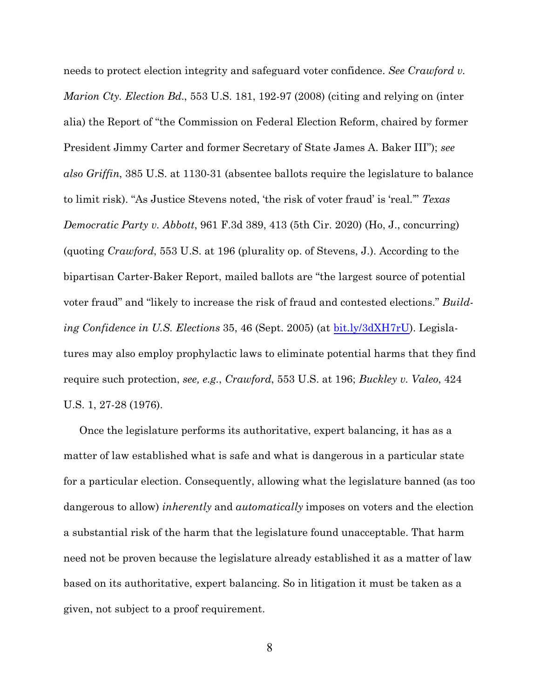needs to protect election integrity and safeguard voter confidence. *See Crawford v. Marion Cty. Election Bd.*, 553 U.S. 181, 192-97 (2008) (citing and relying on (inter alia) the Report of "the Commission on Federal Election Reform, chaired by former President Jimmy Carter and former Secretary of State James A. Baker III"); *see also Griffin*, 385 U.S. at 1130-31 (absentee ballots require the legislature to balance to limit risk). "As Justice Stevens noted, 'the risk of voter fraud' is 'real.'" *Texas Democratic Party v. Abbott*, 961 F.3d 389, 413 (5th Cir. 2020) (Ho, J., concurring) (quoting *Crawford*, 553 U.S. at 196 (plurality op. of Stevens, J.). According to the bipartisan Carter-Baker Report, mailed ballots are "the largest source of potential voter fraud" and "likely to increase the risk of fraud and contested elections." *Building Confidence in U.S. Elections* 35, 46 (Sept. 2005) (at bit.ly/3dXH7rU). Legislatures may also employ prophylactic laws to eliminate potential harms that they find require such protection, *see, e.g.*, *Crawford*, 553 U.S. at 196; *Buckley v. Valeo*, 424 U.S. 1, 27-28 (1976).

Once the legislature performs its authoritative, expert balancing, it has as a matter of law established what is safe and what is dangerous in a particular state for a particular election. Consequently, allowing what the legislature banned (as too dangerous to allow) *inherently* and *automatically* imposes on voters and the election a substantial risk of the harm that the legislature found unacceptable. That harm need not be proven because the legislature already established it as a matter of law based on its authoritative, expert balancing. So in litigation it must be taken as a given, not subject to a proof requirement.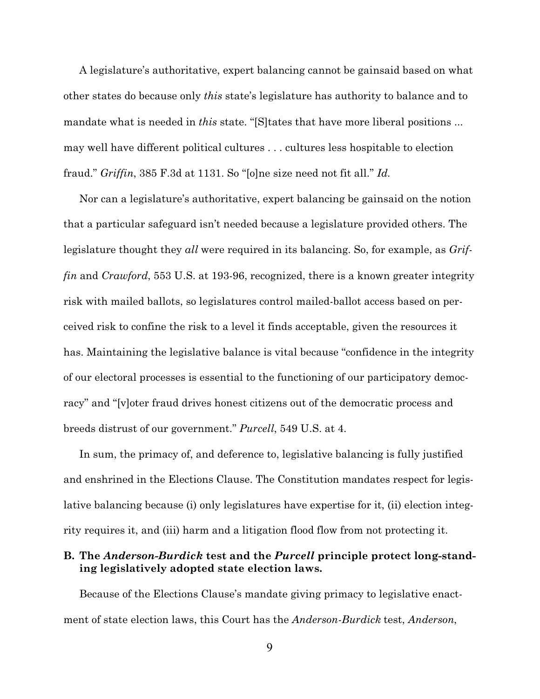A legislature's authoritative, expert balancing cannot be gainsaid based on what other states do because only *this* state's legislature has authority to balance and to mandate what is needed in *this* state. "[S]tates that have more liberal positions ... may well have different political cultures . . . cultures less hospitable to election fraud." *Griffin*, 385 F.3d at 1131. So "[o]ne size need not fit all." *Id.*

Nor can a legislature's authoritative, expert balancing be gainsaid on the notion that a particular safeguard isn't needed because a legislature provided others. The legislature thought they *all* were required in its balancing. So, for example, as *Griffin* and *Crawford*, 553 U.S. at 193-96, recognized, there is a known greater integrity risk with mailed ballots, so legislatures control mailed-ballot access based on perceived risk to confine the risk to a level it finds acceptable, given the resources it has. Maintaining the legislative balance is vital because "confidence in the integrity of our electoral processes is essential to the functioning of our participatory democracy" and "[v]oter fraud drives honest citizens out of the democratic process and breeds distrust of our government." *Purcell*, 549 U.S. at 4.

In sum, the primacy of, and deference to, legislative balancing is fully justified and enshrined in the Elections Clause. The Constitution mandates respect for legislative balancing because (i) only legislatures have expertise for it, (ii) election integrity requires it, and (iii) harm and a litigation flood flow from not protecting it.

## **B. The** *Anderson-Burdick* **test and the** *Purcell* **principle protect long-standing legislatively adopted state election laws.**

Because of the Elections Clause's mandate giving primacy to legislative enactment of state election laws, this Court has the *Anderson-Burdick* test, *Anderson*,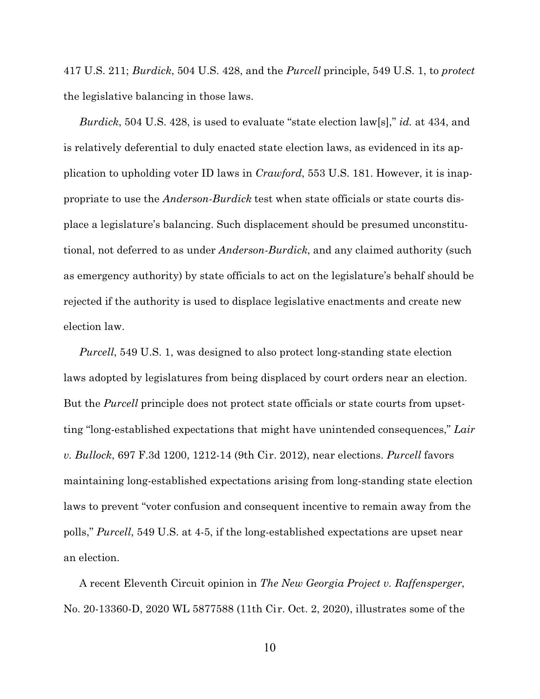417 U.S. 211; *Burdick*, 504 U.S. 428, and the *Purcell* principle, 549 U.S. 1, to *protect* the legislative balancing in those laws.

*Burdick*, 504 U.S. 428, is used to evaluate "state election law[s]," *id.* at 434, and is relatively deferential to duly enacted state election laws, as evidenced in its application to upholding voter ID laws in *Crawford*, 553 U.S. 181. However, it is inappropriate to use the *Anderson-Burdick* test when state officials or state courts displace a legislature's balancing. Such displacement should be presumed unconstitutional, not deferred to as under *Anderson-Burdick*, and any claimed authority (such as emergency authority) by state officials to act on the legislature's behalf should be rejected if the authority is used to displace legislative enactments and create new election law.

*Purcell*, 549 U.S. 1, was designed to also protect long-standing state election laws adopted by legislatures from being displaced by court orders near an election. But the *Purcell* principle does not protect state officials or state courts from upsetting "long-established expectations that might have unintended consequences," *Lair v. Bullock*, 697 F.3d 1200, 1212-14 (9th Cir. 2012), near elections. *Purcell* favors maintaining long-established expectations arising from long-standing state election laws to prevent "voter confusion and consequent incentive to remain away from the polls," *Purcell*, 549 U.S. at 4-5, if the long-established expectations are upset near an election.

A recent Eleventh Circuit opinion in *The New Georgia Project v. Raffensperger*, No. 20-13360-D, 2020 WL 5877588 (11th Cir. Oct. 2, 2020), illustrates some of the

10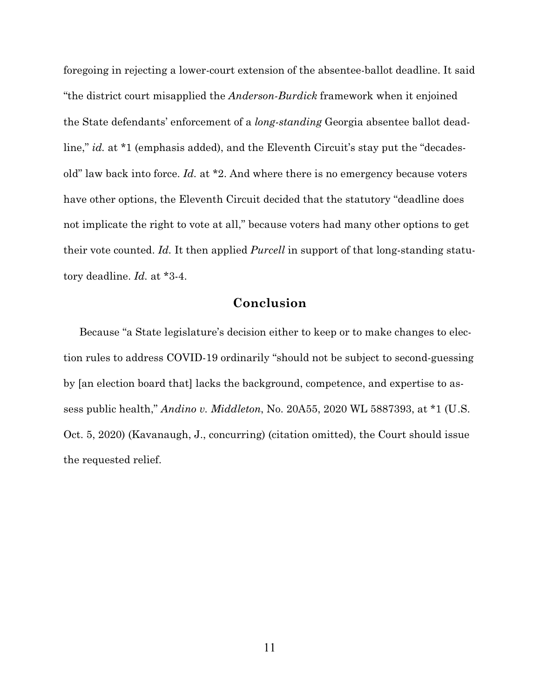foregoing in rejecting a lower-court extension of the absentee-ballot deadline. It said "the district court misapplied the *Anderson-Burdick* framework when it enjoined the State defendants' enforcement of a *long-standing* Georgia absentee ballot deadline," *id.* at \*1 (emphasis added), and the Eleventh Circuit's stay put the "decadesold" law back into force. *Id.* at \*2. And where there is no emergency because voters have other options, the Eleventh Circuit decided that the statutory "deadline does not implicate the right to vote at all," because voters had many other options to get their vote counted. *Id.* It then applied *Purcell* in support of that long-standing statutory deadline. *Id.* at \*3-4.

# **Conclusion**

Because "a State legislature's decision either to keep or to make changes to election rules to address COVID-19 ordinarily "should not be subject to second-guessing by [an election board that] lacks the background, competence, and expertise to assess public health," *Andino v. Middleton*, No. 20A55, 2020 WL 5887393, at \*1 (U.S. Oct. 5, 2020) (Kavanaugh, J., concurring) (citation omitted), the Court should issue the requested relief.